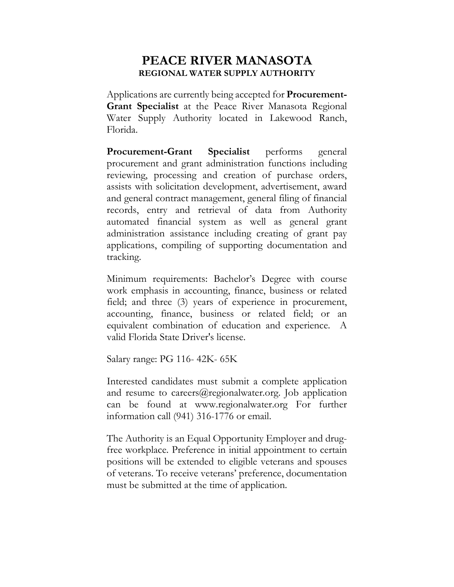## **PEACE RIVER MANASOTA REGIONAL WATER SUPPLY AUTHORITY**

Applications are currently being accepted for **Procurement-Grant Specialist** at the Peace River Manasota Regional Water Supply Authority located in Lakewood Ranch, Florida.

**Procurement-Grant Specialist** performs general procurement and grant administration functions including reviewing, processing and creation of purchase orders, assists with solicitation development, advertisement, award and general contract management, general filing of financial records, entry and retrieval of data from Authority automated financial system as well as general grant administration assistance including creating of grant pay applications, compiling of supporting documentation and tracking.

Minimum requirements: Bachelor's Degree with course work emphasis in accounting, finance, business or related field; and three (3) years of experience in procurement, accounting, finance, business or related field; or an equivalent combination of education and experience. A valid Florida State Driver's license.

Salary range: PG 116- 42K- 65K

Interested candidates must submit a complete application and resume to [careers@regionalwater.org. Job application](mailto:careers@regionalwater.org.%20Job%20Application) can be found at www.regionalwater.org For further information call (941) 316-1776 or email.

The Authority is an Equal Opportunity Employer and drugfree workplace. Preference in initial appointment to certain positions will be extended to eligible veterans and spouses of veterans. To receive veterans' preference, documentation must be submitted at the time of application.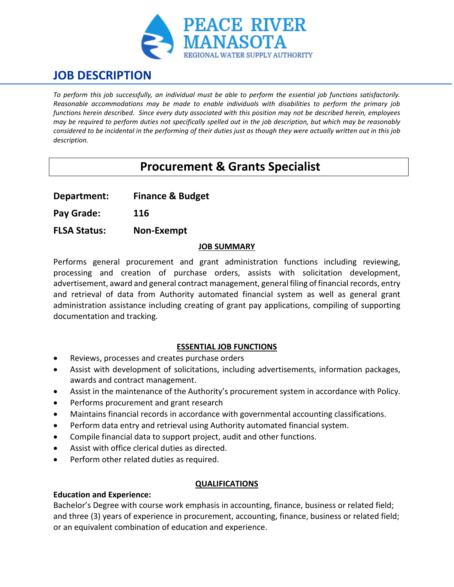

# **JOB DESCRIPTION**

*To perform this job successfully, an individual must be able to perform the essential job functions satisfactorily. Reasonable accommodations may be made to enable individuals with disabilities to perform the primary job functions herein described. Since every duty associated with this position may not be described herein, employees may be required to perform duties not specifically spelled out in the job description, but which may be reasonably considered to be incidental in the performing of their duties just as though they were actually written out in this job description.*

## **Procurement & Grants Specialist**

**Department: Finance & Budget**

**Pay Grade: 116**

**FLSA Status: Non-Exempt**

### **JOB SUMMARY**

Performs general procurement and grant administration functions including reviewing, processing and creation of purchase orders, assists with solicitation development, advertisement, award and general contract management, general filing of financial records, entry and retrieval of data from Authority automated financial system as well as general grant administration assistance including creating of grant pay applications, compiling of supporting documentation and tracking.

## **ESSENTIAL JOB FUNCTIONS**

- Reviews, processes and creates purchase orders
- Assist with development of solicitations, including advertisements, information packages, awards and contract management.
- Assist in the maintenance of the Authority's procurement system in accordance with Policy.
- Performs procurement and grant research
- Maintains financial records in accordance with governmental accounting classifications.
- Perform data entry and retrieval using Authority automated financial system.
- Compile financial data to support project, audit and other functions.
- Assist with office clerical duties as directed.
- Perform other related duties as required.

## **QUALIFICATIONS**

## **Education and Experience:**

Bachelor's Degree with course work emphasis in accounting, finance, business or related field; and three (3) years of experience in procurement, accounting, finance, business or related field; or an equivalent combination of education and experience.